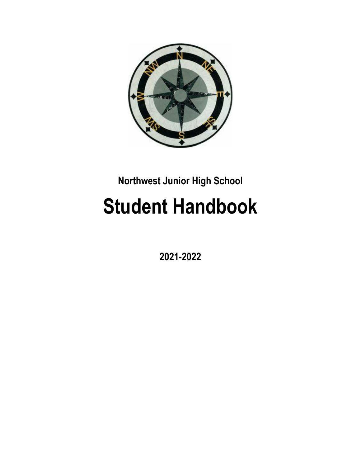

# **Northwest Junior High School**

# **Student Handbook**

**2021-2022**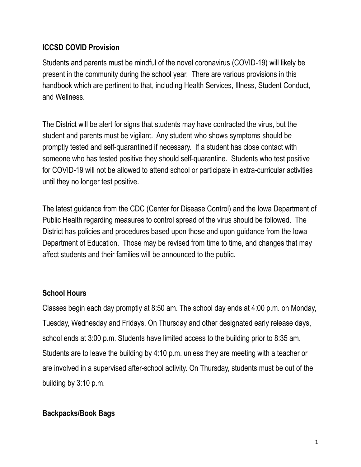# **ICCSD COVID Provision**

Students and parents must be mindful of the novel coronavirus (COVID-19) will likely be present in the community during the school year. There are various provisions in this handbook which are pertinent to that, including Health Services, Illness, Student Conduct, and Wellness.

The District will be alert for signs that students may have contracted the virus, but the student and parents must be vigilant. Any student who shows symptoms should be promptly tested and self-quarantined if necessary. If a student has close contact with someone who has tested positive they should self-quarantine. Students who test positive for COVID-19 will not be allowed to attend school or participate in extra-curricular activities until they no longer test positive.

The latest guidance from the CDC (Center for Disease Control) and the Iowa Department of Public Health regarding measures to control spread of the virus should be followed. The District has policies and procedures based upon those and upon guidance from the Iowa Department of Education. Those may be revised from time to time, and changes that may affect students and their families will be announced to the public.

# **School Hours**

Classes begin each day promptly at 8:50 am. The school day ends at 4:00 p.m. on Monday, Tuesday, Wednesday and Fridays. On Thursday and other designated early release days, school ends at 3:00 p.m. Students have limited access to the building prior to 8:35 am. Students are to leave the building by 4:10 p.m. unless they are meeting with a teacher or are involved in a supervised after-school activity. On Thursday, students must be out of the building by 3:10 p.m.

# **Backpacks/Book Bags**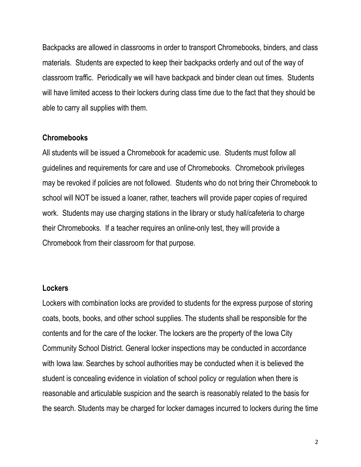Backpacks are allowed in classrooms in order to transport Chromebooks, binders, and class materials. Students are expected to keep their backpacks orderly and out of the way of classroom traffic. Periodically we will have backpack and binder clean out times. Students will have limited access to their lockers during class time due to the fact that they should be able to carry all supplies with them.

#### **Chromebooks**

All students will be issued a Chromebook for academic use. Students must follow all guidelines and requirements for care and use of Chromebooks. Chromebook privileges may be revoked if policies are not followed. Students who do not bring their Chromebook to school will NOT be issued a loaner, rather, teachers will provide paper copies of required work. Students may use charging stations in the library or study hall/cafeteria to charge their Chromebooks. If a teacher requires an online-only test, they will provide a Chromebook from their classroom for that purpose.

#### **Lockers**

Lockers with combination locks are provided to students for the express purpose of storing coats, boots, books, and other school supplies. The students shall be responsible for the contents and for the care of the locker. The lockers are the property of the Iowa City Community School District. General locker inspections may be conducted in accordance with Iowa law. Searches by school authorities may be conducted when it is believed the student is concealing evidence in violation of school policy or regulation when there is reasonable and articulable suspicion and the search is reasonably related to the basis for the search. Students may be charged for locker damages incurred to lockers during the time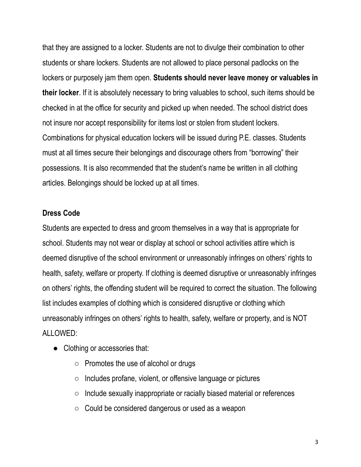that they are assigned to a locker. Students are not to divulge their combination to other students or share lockers. Students are not allowed to place personal padlocks on the lockers or purposely jam them open. **Students should never leave money or valuables in their locker**. If it is absolutely necessary to bring valuables to school, such items should be checked in at the office for security and picked up when needed. The school district does not insure nor accept responsibility for items lost or stolen from student lockers. Combinations for physical education lockers will be issued during P.E. classes. Students must at all times secure their belongings and discourage others from "borrowing" their possessions. It is also recommended that the student's name be written in all clothing articles. Belongings should be locked up at all times.

#### **Dress Code**

Students are expected to dress and groom themselves in a way that is appropriate for school. Students may not wear or display at school or school activities attire which is deemed disruptive of the school environment or unreasonably infringes on others' rights to health, safety, welfare or property. If clothing is deemed disruptive or unreasonably infringes on others' rights, the offending student will be required to correct the situation. The following list includes examples of clothing which is considered disruptive or clothing which unreasonably infringes on others' rights to health, safety, welfare or property, and is NOT ALLOWED:

- Clothing or accessories that:
	- $\circ$  Promotes the use of alcohol or drugs
	- Includes profane, violent, or offensive language or pictures
	- Include sexually inappropriate or racially biased material or references
	- Could be considered dangerous or used as a weapon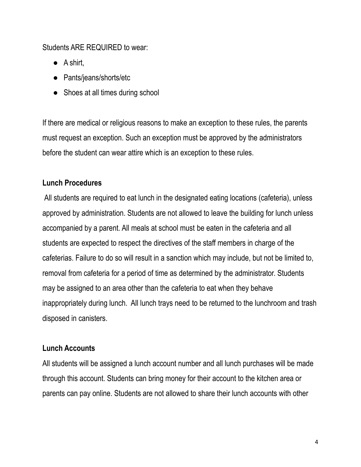#### Students ARE REQUIRED to wear:

- $\bullet$  A shirt,
- Pants/jeans/shorts/etc
- Shoes at all times during school

If there are medical or religious reasons to make an exception to these rules, the parents must request an exception. Such an exception must be approved by the administrators before the student can wear attire which is an exception to these rules.

# **Lunch Procedures**

All students are required to eat lunch in the designated eating locations (cafeteria), unless approved by administration. Students are not allowed to leave the building for lunch unless accompanied by a parent. All meals at school must be eaten in the cafeteria and all students are expected to respect the directives of the staff members in charge of the cafeterias. Failure to do so will result in a sanction which may include, but not be limited to, removal from cafeteria for a period of time as determined by the administrator. Students may be assigned to an area other than the cafeteria to eat when they behave inappropriately during lunch. All lunch trays need to be returned to the lunchroom and trash disposed in canisters.

# **Lunch Accounts**

All students will be assigned a lunch account number and all lunch purchases will be made through this account. Students can bring money for their account to the kitchen area or parents can pay online. Students are not allowed to share their lunch accounts with other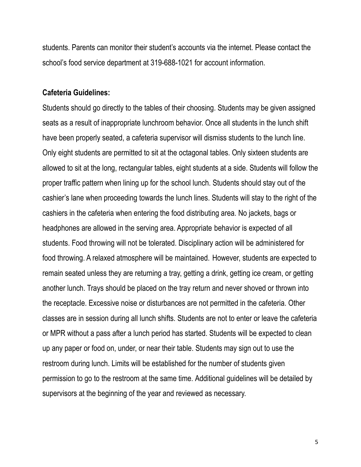students. Parents can monitor their student's accounts via the internet. Please contact the school's food service department at 319-688-1021 for account information.

#### **Cafeteria Guidelines:**

Students should go directly to the tables of their choosing. Students may be given assigned seats as a result of inappropriate lunchroom behavior. Once all students in the lunch shift have been properly seated, a cafeteria supervisor will dismiss students to the lunch line. Only eight students are permitted to sit at the octagonal tables. Only sixteen students are allowed to sit at the long, rectangular tables, eight students at a side. Students will follow the proper traffic pattern when lining up for the school lunch. Students should stay out of the cashier's lane when proceeding towards the lunch lines. Students will stay to the right of the cashiers in the cafeteria when entering the food distributing area. No jackets, bags or headphones are allowed in the serving area. Appropriate behavior is expected of all students. Food throwing will not be tolerated. Disciplinary action will be administered for food throwing. A relaxed atmosphere will be maintained. However, students are expected to remain seated unless they are returning a tray, getting a drink, getting ice cream, or getting another lunch. Trays should be placed on the tray return and never shoved or thrown into the receptacle. Excessive noise or disturbances are not permitted in the cafeteria. Other classes are in session during all lunch shifts. Students are not to enter or leave the cafeteria or MPR without a pass after a lunch period has started. Students will be expected to clean up any paper or food on, under, or near their table. Students may sign out to use the restroom during lunch. Limits will be established for the number of students given permission to go to the restroom at the same time. Additional guidelines will be detailed by supervisors at the beginning of the year and reviewed as necessary.

5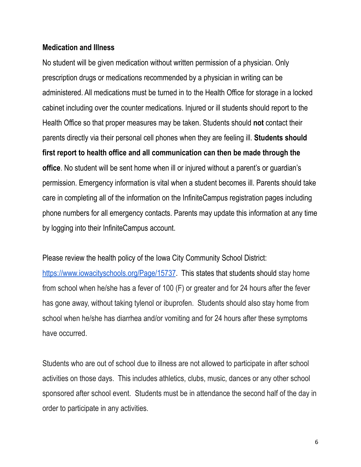#### **Medication and Illness**

No student will be given medication without written permission of a physician. Only prescription drugs or medications recommended by a physician in writing can be administered. All medications must be turned in to the Health Office for storage in a locked cabinet including over the counter medications. Injured or ill students should report to the Health Office so that proper measures may be taken. Students should **not** contact their parents directly via their personal cell phones when they are feeling ill. **Students should first report to health office and all communication can then be made through the office**. No student will be sent home when ill or injured without a parent's or guardian's permission. Emergency information is vital when a student becomes ill. Parents should take care in completing all of the information on the InfiniteCampus registration pages including phone numbers for all emergency contacts. Parents may update this information at any time by logging into their InfiniteCampus account.

Please review the health policy of the Iowa City Community School District:

<https://www.iowacityschools.org/Page/15737>. This states that students should stay home from school when he/she has a fever of 100 (F) or greater and for 24 hours after the fever has gone away, without taking tylenol or ibuprofen. Students should also stay home from school when he/she has diarrhea and/or vomiting and for 24 hours after these symptoms have occurred.

Students who are out of school due to illness are not allowed to participate in after school activities on those days. This includes athletics, clubs, music, dances or any other school sponsored after school event. Students must be in attendance the second half of the day in order to participate in any activities.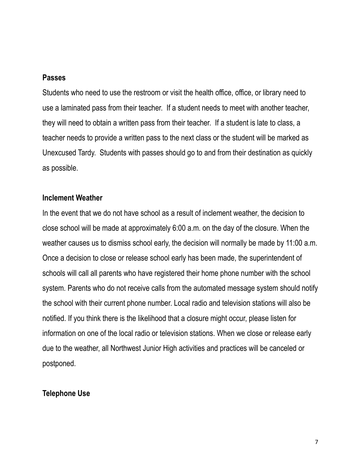#### **Passes**

Students who need to use the restroom or visit the health office, office, or library need to use a laminated pass from their teacher. If a student needs to meet with another teacher, they will need to obtain a written pass from their teacher. If a student is late to class, a teacher needs to provide a written pass to the next class or the student will be marked as Unexcused Tardy. Students with passes should go to and from their destination as quickly as possible.

#### **Inclement Weather**

In the event that we do not have school as a result of inclement weather, the decision to close school will be made at approximately 6:00 a.m. on the day of the closure. When the weather causes us to dismiss school early, the decision will normally be made by 11:00 a.m. Once a decision to close or release school early has been made, the superintendent of schools will call all parents who have registered their home phone number with the school system. Parents who do not receive calls from the automated message system should notify the school with their current phone number. Local radio and television stations will also be notified. If you think there is the likelihood that a closure might occur, please listen for information on one of the local radio or television stations. When we close or release early due to the weather, all Northwest Junior High activities and practices will be canceled or postponed.

#### **Telephone Use**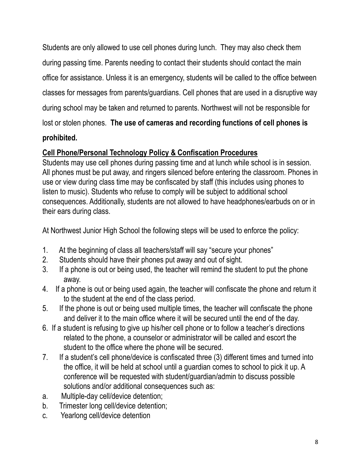Students are only allowed to use cell phones during lunch. They may also check them during passing time. Parents needing to contact their students should contact the main office for assistance. Unless it is an emergency, students will be called to the office between classes for messages from parents/guardians. Cell phones that are used in a disruptive way during school may be taken and returned to parents. Northwest will not be responsible for lost or stolen phones. **The use of cameras and recording functions of cell phones is**

# **prohibited.**

# **Cell Phone/Personal Technology Policy & Confiscation Procedures**

Students may use cell phones during passing time and at lunch while school is in session. All phones must be put away, and ringers silenced before entering the classroom. Phones in use or view during class time may be confiscated by staff (this includes using phones to listen to music). Students who refuse to comply will be subject to additional school consequences. Additionally, students are not allowed to have headphones/earbuds on or in their ears during class.

At Northwest Junior High School the following steps will be used to enforce the policy:

- 1. At the beginning of class all teachers/staff will say "secure your phones"
- 2. Students should have their phones put away and out of sight.
- 3. If a phone is out or being used, the teacher will remind the student to put the phone away.
- 4. If a phone is out or being used again, the teacher will confiscate the phone and return it to the student at the end of the class period.
- 5. If the phone is out or being used multiple times, the teacher will confiscate the phone and deliver it to the main office where it will be secured until the end of the day.
- 6. If a student is refusing to give up his/her cell phone or to follow a teacher's directions related to the phone, a counselor or administrator will be called and escort the student to the office where the phone will be secured.
- 7. If a student's cell phone/device is confiscated three (3) different times and turned into the office, it will be held at school until a guardian comes to school to pick it up. A conference will be requested with student/guardian/admin to discuss possible solutions and/or additional consequences such as:
- a. Multiple-day cell/device detention;
- b. Trimester long cell/device detention;
- c. Yearlong cell/device detention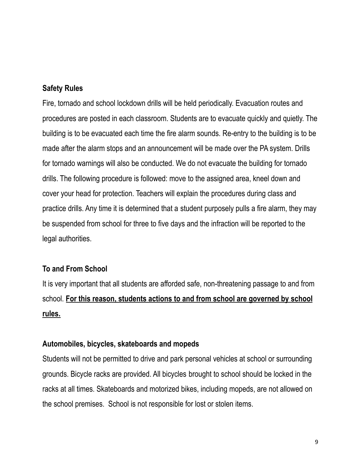#### **Safety Rules**

Fire, tornado and school lockdown drills will be held periodically. Evacuation routes and procedures are posted in each classroom. Students are to evacuate quickly and quietly. The building is to be evacuated each time the fire alarm sounds. Re-entry to the building is to be made after the alarm stops and an announcement will be made over the PA system. Drills for tornado warnings will also be conducted. We do not evacuate the building for tornado drills. The following procedure is followed: move to the assigned area, kneel down and cover your head for protection. Teachers will explain the procedures during class and practice drills. Any time it is determined that a student purposely pulls a fire alarm, they may be suspended from school for three to five days and the infraction will be reported to the legal authorities.

#### **To and From School**

It is very important that all students are afforded safe, non-threatening passage to and from school. **For this reason, students actions to and from school are governed by school rules.**

#### **Automobiles, bicycles, skateboards and mopeds**

Students will not be permitted to drive and park personal vehicles at school or surrounding grounds. Bicycle racks are provided. All bicycles brought to school should be locked in the racks at all times. Skateboards and motorized bikes, including mopeds, are not allowed on the school premises. School is not responsible for lost or stolen items.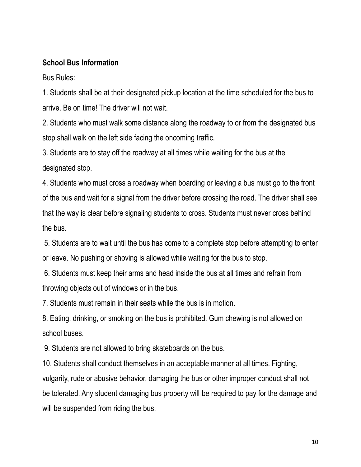# **School Bus Information**

Bus Rules:

1. Students shall be at their designated pickup location at the time scheduled for the bus to arrive. Be on time! The driver will not wait.

2. Students who must walk some distance along the roadway to or from the designated bus stop shall walk on the left side facing the oncoming traffic.

3. Students are to stay off the roadway at all times while waiting for the bus at the designated stop.

4. Students who must cross a roadway when boarding or leaving a bus must go to the front of the bus and wait for a signal from the driver before crossing the road. The driver shall see that the way is clear before signaling students to cross. Students must never cross behind the bus.

5. Students are to wait until the bus has come to a complete stop before attempting to enter or leave. No pushing or shoving is allowed while waiting for the bus to stop.

6. Students must keep their arms and head inside the bus at all times and refrain from throwing objects out of windows or in the bus.

7. Students must remain in their seats while the bus is in motion.

8. Eating, drinking, or smoking on the bus is prohibited. Gum chewing is not allowed on school buses.

9. Students are not allowed to bring skateboards on the bus.

10. Students shall conduct themselves in an acceptable manner at all times. Fighting, vulgarity, rude or abusive behavior, damaging the bus or other improper conduct shall not be tolerated. Any student damaging bus property will be required to pay for the damage and will be suspended from riding the bus.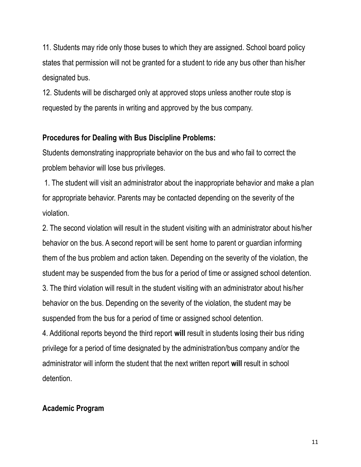11. Students may ride only those buses to which they are assigned. School board policy states that permission will not be granted for a student to ride any bus other than his/her designated bus.

12. Students will be discharged only at approved stops unless another route stop is requested by the parents in writing and approved by the bus company.

#### **Procedures for Dealing with Bus Discipline Problems:**

Students demonstrating inappropriate behavior on the bus and who fail to correct the problem behavior will lose bus privileges.

1. The student will visit an administrator about the inappropriate behavior and make a plan for appropriate behavior. Parents may be contacted depending on the severity of the violation.

2. The second violation will result in the student visiting with an administrator about his/her behavior on the bus. A second report will be sent home to parent or guardian informing them of the bus problem and action taken. Depending on the severity of the violation, the student may be suspended from the bus for a period of time or assigned school detention. 3. The third violation will result in the student visiting with an administrator about his/her behavior on the bus. Depending on the severity of the violation, the student may be suspended from the bus for a period of time or assigned school detention.

4. Additional reports beyond the third report **will** result in students losing their bus riding privilege for a period of time designated by the administration/bus company and/or the administrator will inform the student that the next written report **will** result in school detention.

# **Academic Program**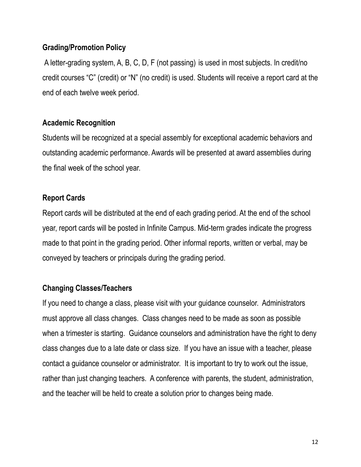## **Grading/Promotion Policy**

A letter-grading system, A, B, C, D, F (not passing) is used in most subjects. In credit/no credit courses "C" (credit) or "N" (no credit) is used. Students will receive a report card at the end of each twelve week period.

# **Academic Recognition**

Students will be recognized at a special assembly for exceptional academic behaviors and outstanding academic performance. Awards will be presented at award assemblies during the final week of the school year.

#### **Report Cards**

Report cards will be distributed at the end of each grading period. At the end of the school year, report cards will be posted in Infinite Campus. Mid-term grades indicate the progress made to that point in the grading period. Other informal reports, written or verbal, may be conveyed by teachers or principals during the grading period.

#### **Changing Classes/Teachers**

If you need to change a class, please visit with your guidance counselor. Administrators must approve all class changes. Class changes need to be made as soon as possible when a trimester is starting. Guidance counselors and administration have the right to deny class changes due to a late date or class size. If you have an issue with a teacher, please contact a guidance counselor or administrator. It is important to try to work out the issue, rather than just changing teachers. A conference with parents, the student, administration, and the teacher will be held to create a solution prior to changes being made.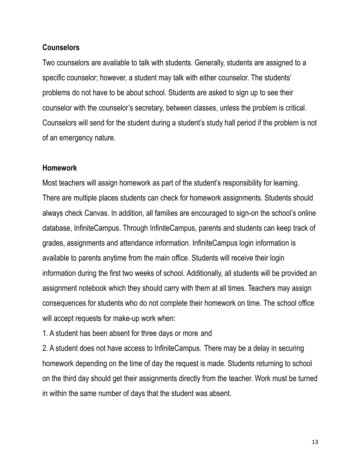#### **Counselors**

Two counselors are available to talk with students. Generally, students are assigned to a specific counselor; however, a student may talk with either counselor. The students' problems do not have to be about school. Students are asked to sign up to see their counselor with the counselor's secretary, between classes, unless the problem is critical. Counselors will send for the student during a student's study hall period if the problem is not of an emergency nature.

#### **Homework**

Most teachers will assign homework as part of the student's responsibility for learning. There are multiple places students can check for homework assignments. Students should always check Canvas. In addition, all families are encouraged to sign-on the school's online database, InfiniteCampus. Through InfiniteCampus, parents and students can keep track of grades, assignments and attendance information. InfiniteCampus login information is available to parents anytime from the main office. Students will receive their login information during the first two weeks of school. Additionally, all students will be provided an assignment notebook which they should carry with them at all times. Teachers may assign consequences for students who do not complete their homework on time. The school office will accept requests for make-up work when:

1. A student has been absent for three days or more and

2. A student does not have access to InfiniteCampus. There may be a delay in securing homework depending on the time of day the request is made. Students returning to school on the third day should get their assignments directly from the teacher. Work must be turned in within the same number of days that the student was absent.

13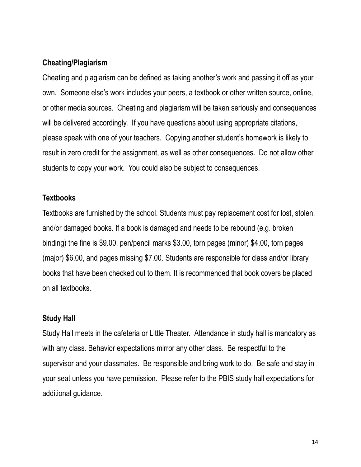#### **Cheating/Plagiarism**

Cheating and plagiarism can be defined as taking another's work and passing it off as your own. Someone else's work includes your peers, a textbook or other written source, online, or other media sources. Cheating and plagiarism will be taken seriously and consequences will be delivered accordingly. If you have questions about using appropriate citations, please speak with one of your teachers. Copying another student's homework is likely to result in zero credit for the assignment, as well as other consequences. Do not allow other students to copy your work. You could also be subject to consequences.

#### **Textbooks**

Textbooks are furnished by the school. Students must pay replacement cost for lost, stolen, and/or damaged books. If a book is damaged and needs to be rebound (e.g. broken binding) the fine is \$9.00, pen/pencil marks \$3.00, torn pages (minor) \$4.00, torn pages (major) \$6.00, and pages missing \$7.00. Students are responsible for class and/or library books that have been checked out to them. It is recommended that book covers be placed on all textbooks.

#### **Study Hall**

Study Hall meets in the cafeteria or Little Theater. Attendance in study hall is mandatory as with any class. Behavior expectations mirror any other class. Be respectful to the supervisor and your classmates. Be responsible and bring work to do. Be safe and stay in your seat unless you have permission. Please refer to the PBIS study hall expectations for additional guidance.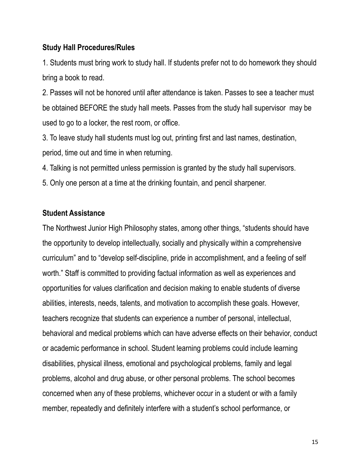#### **Study Hall Procedures/Rules**

1. Students must bring work to study hall. If students prefer not to do homework they should bring a book to read.

2. Passes will not be honored until after attendance is taken. Passes to see a teacher must be obtained BEFORE the study hall meets. Passes from the study hall supervisor may be used to go to a locker, the rest room, or office.

3. To leave study hall students must log out, printing first and last names, destination, period, time out and time in when returning.

4. Talking is not permitted unless permission is granted by the study hall supervisors.

5. Only one person at a time at the drinking fountain, and pencil sharpener.

# **Student Assistance**

The Northwest Junior High Philosophy states, among other things, "students should have the opportunity to develop intellectually, socially and physically within a comprehensive curriculum" and to "develop self-discipline, pride in accomplishment, and a feeling of self worth." Staff is committed to providing factual information as well as experiences and opportunities for values clarification and decision making to enable students of diverse abilities, interests, needs, talents, and motivation to accomplish these goals. However, teachers recognize that students can experience a number of personal, intellectual, behavioral and medical problems which can have adverse effects on their behavior, conduct or academic performance in school. Student learning problems could include learning disabilities, physical illness, emotional and psychological problems, family and legal problems, alcohol and drug abuse, or other personal problems. The school becomes concerned when any of these problems, whichever occur in a student or with a family member, repeatedly and definitely interfere with a student's school performance, or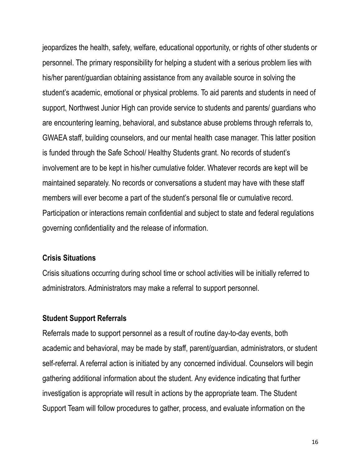jeopardizes the health, safety, welfare, educational opportunity, or rights of other students or personnel. The primary responsibility for helping a student with a serious problem lies with his/her parent/guardian obtaining assistance from any available source in solving the student's academic, emotional or physical problems. To aid parents and students in need of support, Northwest Junior High can provide service to students and parents/ guardians who are encountering learning, behavioral, and substance abuse problems through referrals to, GWAEA staff, building counselors, and our mental health case manager. This latter position is funded through the Safe School/ Healthy Students grant. No records of student's involvement are to be kept in his/her cumulative folder. Whatever records are kept will be maintained separately. No records or conversations a student may have with these staff members will ever become a part of the student's personal file or cumulative record. Participation or interactions remain confidential and subject to state and federal regulations governing confidentiality and the release of information.

#### **Crisis Situations**

Crisis situations occurring during school time or school activities will be initially referred to administrators. Administrators may make a referral to support personnel.

#### **Student Support Referrals**

Referrals made to support personnel as a result of routine day-to-day events, both academic and behavioral, may be made by staff, parent/guardian, administrators, or student self-referral. A referral action is initiated by any concerned individual. Counselors will begin gathering additional information about the student. Any evidence indicating that further investigation is appropriate will result in actions by the appropriate team. The Student Support Team will follow procedures to gather, process, and evaluate information on the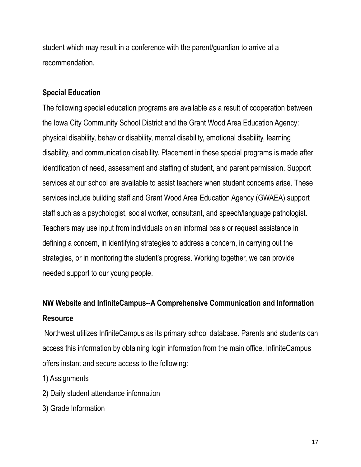student which may result in a conference with the parent/guardian to arrive at a recommendation.

# **Special Education**

The following special education programs are available as a result of cooperation between the Iowa City Community School District and the Grant Wood Area Education Agency: physical disability, behavior disability, mental disability, emotional disability, learning disability, and communication disability. Placement in these special programs is made after identification of need, assessment and staffing of student, and parent permission. Support services at our school are available to assist teachers when student concerns arise. These services include building staff and Grant Wood Area Education Agency (GWAEA) support staff such as a psychologist, social worker, consultant, and speech/language pathologist. Teachers may use input from individuals on an informal basis or request assistance in defining a concern, in identifying strategies to address a concern, in carrying out the strategies, or in monitoring the student's progress. Working together, we can provide needed support to our young people.

# **NW Website and InfiniteCampus--A Comprehensive Communication and Information Resource**

Northwest utilizes InfiniteCampus as its primary school database. Parents and students can access this information by obtaining login information from the main office. InfiniteCampus offers instant and secure access to the following:

- 1) Assignments
- 2) Daily student attendance information
- 3) Grade Information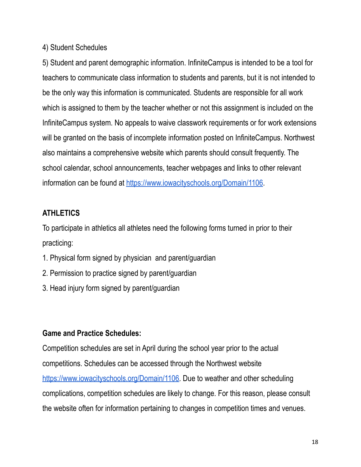#### 4) Student Schedules

5) Student and parent demographic information. InfiniteCampus is intended to be a tool for teachers to communicate class information to students and parents, but it is not intended to be the only way this information is communicated. Students are responsible for all work which is assigned to them by the teacher whether or not this assignment is included on the InfiniteCampus system. No appeals to waive classwork requirements or for work extensions will be granted on the basis of incomplete information posted on InfiniteCampus. Northwest also maintains a comprehensive website which parents should consult frequently. The school calendar, school announcements, teacher webpages and links to other relevant information can be found at <https://www.iowacityschools.org/Domain/1106>.

# **ATHLETICS**

To participate in athletics all athletes need the following forms turned in prior to their practicing:

- 1. Physical form signed by physician and parent/guardian
- 2. Permission to practice signed by parent/guardian
- 3. Head injury form signed by parent/guardian

#### **Game and Practice Schedules:**

Competition schedules are set in April during the school year prior to the actual competitions. Schedules can be accessed through the Northwest website [https://www.iowacityschools.org/Domain/1106.](https://www.iowacityschools.org/Domain/1106) Due to weather and other scheduling complications, competition schedules are likely to change. For this reason, please consult the website often for information pertaining to changes in competition times and venues.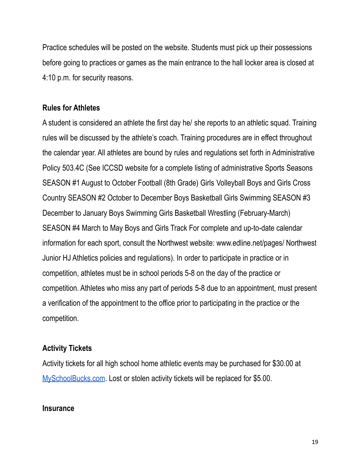Practice schedules will be posted on the website. Students must pick up their possessions before going to practices or games as the main entrance to the hall locker area is closed at 4:10 p.m. for security reasons.

#### **Rules for Athletes**

A student is considered an athlete the first day he/ she reports to an athletic squad. Training rules will be discussed by the athlete's coach. Training procedures are in effect throughout the calendar year. All athletes are bound by rules and regulations set forth in Administrative Policy 503.4C (See ICCSD website for a complete listing of administrative Sports Seasons SEASON #1 August to October Football (8th Grade) Girls Volleyball Boys and Girls Cross Country SEASON #2 October to December Boys Basketball Girls Swimming SEASON #3 December to January Boys Swimming Girls Basketball Wrestling (February-March) SEASON #4 March to May Boys and Girls Track For complete and up-to-date calendar information for each sport, consult the Northwest website: www.edline.net/pages/ Northwest Junior HJ Athletics policies and regulations). In order to participate in practice or in competition, athletes must be in school periods 5-8 on the day of the practice or competition. Athletes who miss any part of periods 5-8 due to an appointment, must present a verification of the appointment to the office prior to participating in the practice or the competition.

#### **Activity Tickets**

Activity tickets for all high school home athletic events may be purchased for \$30.00 at [MySchoolBucks.com](https://www.myschoolbucks.com/ver2/getmain?requestAction=home). Lost or stolen activity tickets will be replaced for \$5.00.

#### **Insurance**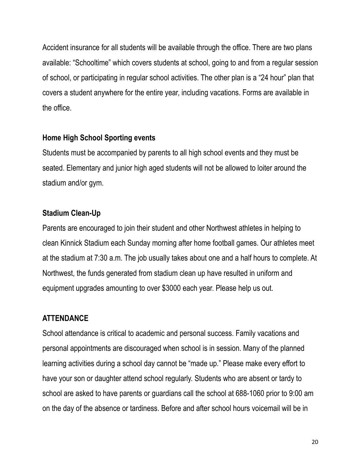Accident insurance for all students will be available through the office. There are two plans available: "Schooltime" which covers students at school, going to and from a regular session of school, or participating in regular school activities. The other plan is a "24 hour" plan that covers a student anywhere for the entire year, including vacations. Forms are available in the office.

#### **Home High School Sporting events**

Students must be accompanied by parents to all high school events and they must be seated. Elementary and junior high aged students will not be allowed to loiter around the stadium and/or gym.

#### **Stadium Clean-Up**

Parents are encouraged to join their student and other Northwest athletes in helping to clean Kinnick Stadium each Sunday morning after home football games. Our athletes meet at the stadium at 7:30 a.m. The job usually takes about one and a half hours to complete. At Northwest, the funds generated from stadium clean up have resulted in uniform and equipment upgrades amounting to over \$3000 each year. Please help us out.

#### **ATTENDANCE**

School attendance is critical to academic and personal success. Family vacations and personal appointments are discouraged when school is in session. Many of the planned learning activities during a school day cannot be "made up." Please make every effort to have your son or daughter attend school regularly. Students who are absent or tardy to school are asked to have parents or guardians call the school at 688-1060 prior to 9:00 am on the day of the absence or tardiness. Before and after school hours voicemail will be in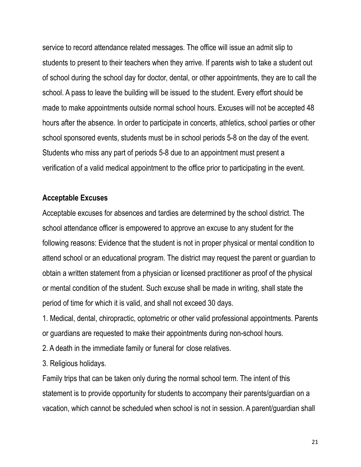service to record attendance related messages. The office will issue an admit slip to students to present to their teachers when they arrive. If parents wish to take a student out of school during the school day for doctor, dental, or other appointments, they are to call the school. A pass to leave the building will be issued to the student. Every effort should be made to make appointments outside normal school hours. Excuses will not be accepted 48 hours after the absence. In order to participate in concerts, athletics, school parties or other school sponsored events, students must be in school periods 5-8 on the day of the event. Students who miss any part of periods 5-8 due to an appointment must present a verification of a valid medical appointment to the office prior to participating in the event.

#### **Acceptable Excuses**

Acceptable excuses for absences and tardies are determined by the school district. The school attendance officer is empowered to approve an excuse to any student for the following reasons: Evidence that the student is not in proper physical or mental condition to attend school or an educational program. The district may request the parent or guardian to obtain a written statement from a physician or licensed practitioner as proof of the physical or mental condition of the student. Such excuse shall be made in writing, shall state the period of time for which it is valid, and shall not exceed 30 days.

1. Medical, dental, chiropractic, optometric or other valid professional appointments. Parents or guardians are requested to make their appointments during non-school hours.

- 2. A death in the immediate family or funeral for close relatives.
- 3. Religious holidays.

Family trips that can be taken only during the normal school term. The intent of this statement is to provide opportunity for students to accompany their parents/guardian on a vacation, which cannot be scheduled when school is not in session. A parent/guardian shall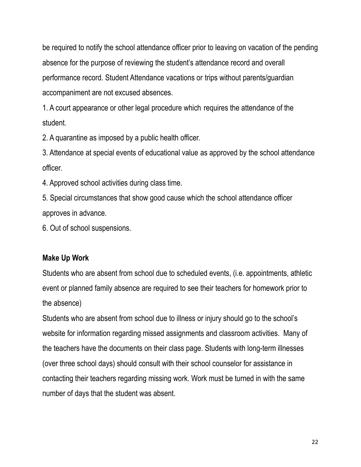be required to notify the school attendance officer prior to leaving on vacation of the pending absence for the purpose of reviewing the student's attendance record and overall performance record. Student Attendance vacations or trips without parents/guardian accompaniment are not excused absences.

1. A court appearance or other legal procedure which requires the attendance of the student.

2. A quarantine as imposed by a public health officer.

3. Attendance at special events of educational value as approved by the school attendance officer.

4. Approved school activities during class time.

5. Special circumstances that show good cause which the school attendance officer approves in advance.

6. Out of school suspensions.

# **Make Up Work**

Students who are absent from school due to scheduled events, (i.e. appointments, athletic event or planned family absence are required to see their teachers for homework prior to the absence)

Students who are absent from school due to illness or injury should go to the school's website for information regarding missed assignments and classroom activities. Many of the teachers have the documents on their class page. Students with long-term illnesses (over three school days) should consult with their school counselor for assistance in contacting their teachers regarding missing work. Work must be turned in with the same number of days that the student was absent.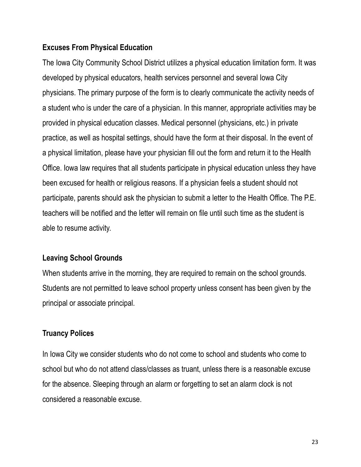#### **Excuses From Physical Education**

The Iowa City Community School District utilizes a physical education limitation form. It was developed by physical educators, health services personnel and several Iowa City physicians. The primary purpose of the form is to clearly communicate the activity needs of a student who is under the care of a physician. In this manner, appropriate activities may be provided in physical education classes. Medical personnel (physicians, etc.) in private practice, as well as hospital settings, should have the form at their disposal. In the event of a physical limitation, please have your physician fill out the form and return it to the Health Office. Iowa law requires that all students participate in physical education unless they have been excused for health or religious reasons. If a physician feels a student should not participate, parents should ask the physician to submit a letter to the Health Office. The P.E. teachers will be notified and the letter will remain on file until such time as the student is able to resume activity.

#### **Leaving School Grounds**

When students arrive in the morning, they are required to remain on the school grounds. Students are not permitted to leave school property unless consent has been given by the principal or associate principal.

#### **Truancy Polices**

In Iowa City we consider students who do not come to school and students who come to school but who do not attend class/classes as truant, unless there is a reasonable excuse for the absence. Sleeping through an alarm or forgetting to set an alarm clock is not considered a reasonable excuse.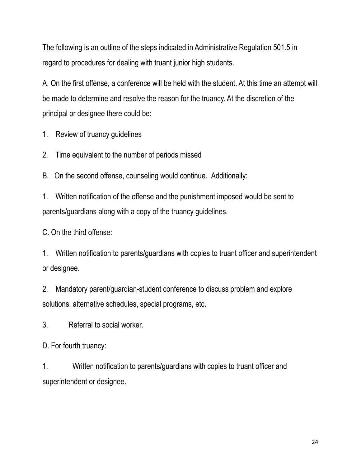The following is an outline of the steps indicated in Administrative Regulation 501.5 in regard to procedures for dealing with truant junior high students.

A. On the first offense, a conference will be held with the student. At this time an attempt will be made to determine and resolve the reason for the truancy. At the discretion of the principal or designee there could be:

1. Review of truancy guidelines

2. Time equivalent to the number of periods missed

B. On the second offense, counseling would continue. Additionally:

1. Written notification of the offense and the punishment imposed would be sent to parents/guardians along with a copy of the truancy guidelines.

C. On the third offense:

1. Written notification to parents/guardians with copies to truant officer and superintendent or designee.

2. Mandatory parent/guardian-student conference to discuss problem and explore solutions, alternative schedules, special programs, etc.

3. Referral to social worker.

D. For fourth truancy:

1. Written notification to parents/guardians with copies to truant officer and superintendent or designee.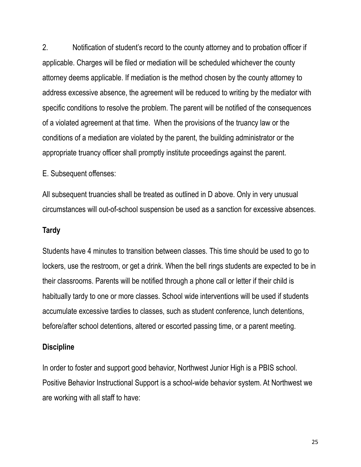2. Notification of student's record to the county attorney and to probation officer if applicable. Charges will be filed or mediation will be scheduled whichever the county attorney deems applicable. If mediation is the method chosen by the county attorney to address excessive absence, the agreement will be reduced to writing by the mediator with specific conditions to resolve the problem. The parent will be notified of the consequences of a violated agreement at that time. When the provisions of the truancy law or the conditions of a mediation are violated by the parent, the building administrator or the appropriate truancy officer shall promptly institute proceedings against the parent.

E. Subsequent offenses:

All subsequent truancies shall be treated as outlined in D above. Only in very unusual circumstances will out-of-school suspension be used as a sanction for excessive absences.

#### **Tardy**

Students have 4 minutes to transition between classes. This time should be used to go to lockers, use the restroom, or get a drink. When the bell rings students are expected to be in their classrooms. Parents will be notified through a phone call or letter if their child is habitually tardy to one or more classes. School wide interventions will be used if students accumulate excessive tardies to classes, such as student conference, lunch detentions, before/after school detentions, altered or escorted passing time, or a parent meeting.

#### **Discipline**

In order to foster and support good behavior, Northwest Junior High is a PBIS school. Positive Behavior Instructional Support is a school-wide behavior system. At Northwest we are working with all staff to have: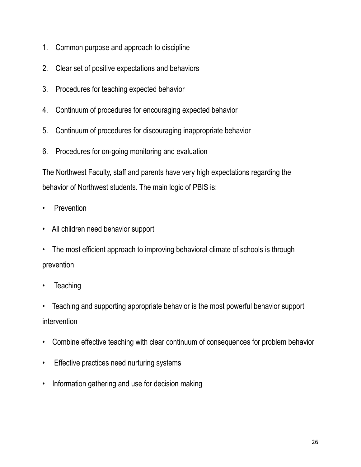- 1. Common purpose and approach to discipline
- 2. Clear set of positive expectations and behaviors
- 3. Procedures for teaching expected behavior
- 4. Continuum of procedures for encouraging expected behavior
- 5. Continuum of procedures for discouraging inappropriate behavior
- 6. Procedures for on-going monitoring and evaluation

The Northwest Faculty, staff and parents have very high expectations regarding the behavior of Northwest students. The main logic of PBIS is:

- Prevention
- All children need behavior support
- The most efficient approach to improving behavioral climate of schools is through prevention
- **Teaching**
- Teaching and supporting appropriate behavior is the most powerful behavior support intervention
- Combine effective teaching with clear continuum of consequences for problem behavior
- Effective practices need nurturing systems
- Information gathering and use for decision making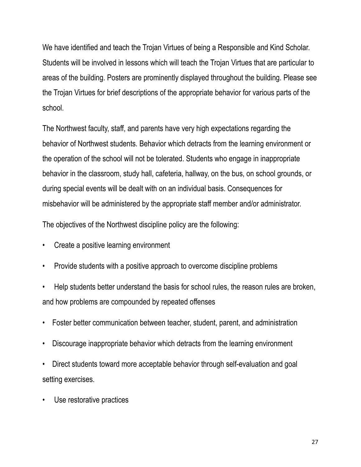We have identified and teach the Trojan Virtues of being a Responsible and Kind Scholar. Students will be involved in lessons which will teach the Trojan Virtues that are particular to areas of the building. Posters are prominently displayed throughout the building. Please see the Trojan Virtues for brief descriptions of the appropriate behavior for various parts of the school.

The Northwest faculty, staff, and parents have very high expectations regarding the behavior of Northwest students. Behavior which detracts from the learning environment or the operation of the school will not be tolerated. Students who engage in inappropriate behavior in the classroom, study hall, cafeteria, hallway, on the bus, on school grounds, or during special events will be dealt with on an individual basis. Consequences for misbehavior will be administered by the appropriate staff member and/or administrator.

The objectives of the Northwest discipline policy are the following:

- Create a positive learning environment
- Provide students with a positive approach to overcome discipline problems
- Help students better understand the basis for school rules, the reason rules are broken, and how problems are compounded by repeated offenses
- Foster better communication between teacher, student, parent, and administration
- Discourage inappropriate behavior which detracts from the learning environment
- Direct students toward more acceptable behavior through self-evaluation and goal setting exercises.
- Use restorative practices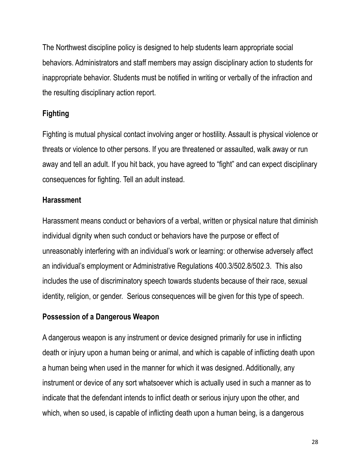The Northwest discipline policy is designed to help students learn appropriate social behaviors. Administrators and staff members may assign disciplinary action to students for inappropriate behavior. Students must be notified in writing or verbally of the infraction and the resulting disciplinary action report.

# **Fighting**

Fighting is mutual physical contact involving anger or hostility. Assault is physical violence or threats or violence to other persons. If you are threatened or assaulted, walk away or run away and tell an adult. If you hit back, you have agreed to "fight" and can expect disciplinary consequences for fighting. Tell an adult instead.

#### **Harassment**

Harassment means conduct or behaviors of a verbal, written or physical nature that diminish individual dignity when such conduct or behaviors have the purpose or effect of unreasonably interfering with an individual's work or learning: or otherwise adversely affect an individual's employment or Administrative Regulations 400.3/502.8/502.3. This also includes the use of discriminatory speech towards students because of their race, sexual identity, religion, or gender. Serious consequences will be given for this type of speech.

# **Possession of a Dangerous Weapon**

A dangerous weapon is any instrument or device designed primarily for use in inflicting death or injury upon a human being or animal, and which is capable of inflicting death upon a human being when used in the manner for which it was designed. Additionally, any instrument or device of any sort whatsoever which is actually used in such a manner as to indicate that the defendant intends to inflict death or serious injury upon the other, and which, when so used, is capable of inflicting death upon a human being, is a dangerous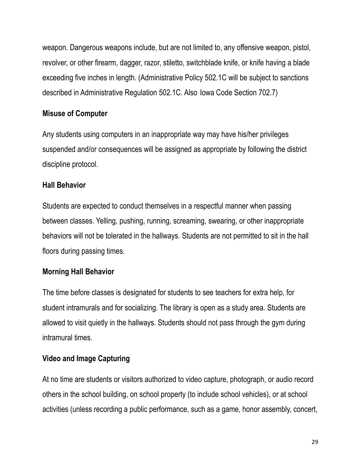weapon. Dangerous weapons include, but are not limited to, any offensive weapon, pistol, revolver, or other firearm, dagger, razor, stiletto, switchblade knife, or knife having a blade exceeding five inches in length. (Administrative Policy 502.1C will be subject to sanctions described in Administrative Regulation 502.1C. Also Iowa Code Section 702.7)

# **Misuse of Computer**

Any students using computers in an inappropriate way may have his/her privileges suspended and/or consequences will be assigned as appropriate by following the district discipline protocol.

#### **Hall Behavior**

Students are expected to conduct themselves in a respectful manner when passing between classes. Yelling, pushing, running, screaming, swearing, or other inappropriate behaviors will not be tolerated in the hallways. Students are not permitted to sit in the hall floors during passing times.

# **Morning Hall Behavior**

The time before classes is designated for students to see teachers for extra help, for student intramurals and for socializing. The library is open as a study area. Students are allowed to visit quietly in the hallways. Students should not pass through the gym during intramural times.

#### **Video and Image Capturing**

At no time are students or visitors authorized to video capture, photograph, or audio record others in the school building, on school property (to include school vehicles), or at school activities (unless recording a public performance, such as a game, honor assembly, concert,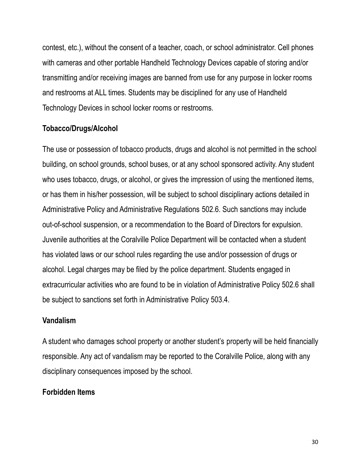contest, etc.), without the consent of a teacher, coach, or school administrator. Cell phones with cameras and other portable Handheld Technology Devices capable of storing and/or transmitting and/or receiving images are banned from use for any purpose in locker rooms and restrooms at ALL times. Students may be disciplined for any use of Handheld Technology Devices in school locker rooms or restrooms.

#### **Tobacco/Drugs/Alcohol**

The use or possession of tobacco products, drugs and alcohol is not permitted in the school building, on school grounds, school buses, or at any school sponsored activity. Any student who uses tobacco, drugs, or alcohol, or gives the impression of using the mentioned items, or has them in his/her possession, will be subject to school disciplinary actions detailed in Administrative Policy and Administrative Regulations 502.6. Such sanctions may include out-of-school suspension, or a recommendation to the Board of Directors for expulsion. Juvenile authorities at the Coralville Police Department will be contacted when a student has violated laws or our school rules regarding the use and/or possession of drugs or alcohol. Legal charges may be filed by the police department. Students engaged in extracurricular activities who are found to be in violation of Administrative Policy 502.6 shall be subject to sanctions set forth in Administrative Policy 503.4.

#### **Vandalism**

A student who damages school property or another student's property will be held financially responsible. Any act of vandalism may be reported to the Coralville Police, along with any disciplinary consequences imposed by the school.

#### **Forbidden Items**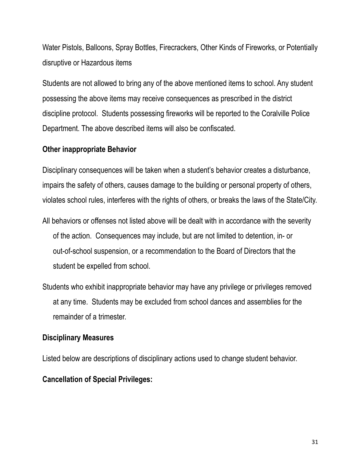Water Pistols, Balloons, Spray Bottles, Firecrackers, Other Kinds of Fireworks, or Potentially disruptive or Hazardous items

Students are not allowed to bring any of the above mentioned items to school. Any student possessing the above items may receive consequences as prescribed in the district discipline protocol. Students possessing fireworks will be reported to the Coralville Police Department. The above described items will also be confiscated.

#### **Other inappropriate Behavior**

Disciplinary consequences will be taken when a student's behavior creates a disturbance, impairs the safety of others, causes damage to the building or personal property of others, violates school rules, interferes with the rights of others, or breaks the laws of the State/City.

- All behaviors or offenses not listed above will be dealt with in accordance with the severity of the action. Consequences may include, but are not limited to detention, in- or out-of-school suspension, or a recommendation to the Board of Directors that the student be expelled from school.
- Students who exhibit inappropriate behavior may have any privilege or privileges removed at any time. Students may be excluded from school dances and assemblies for the remainder of a trimester.

#### **Disciplinary Measures**

Listed below are descriptions of disciplinary actions used to change student behavior.

#### **Cancellation of Special Privileges:**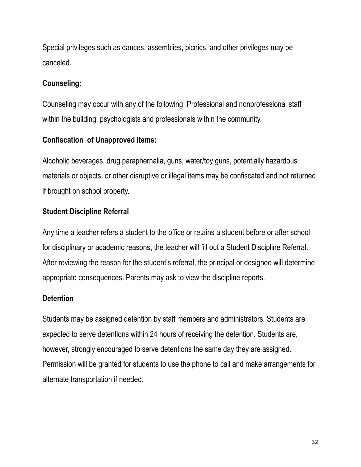Special privileges such as dances, assemblies, picnics, and other privileges may be canceled.

# **Counseling:**

Counseling may occur with any of the following: Professional and nonprofessional staff within the building, psychologists and professionals within the community.

# **Confiscation of Unapproved Items:**

Alcoholic beverages, drug paraphernalia, guns, water/toy guns, potentially hazardous materials or objects, or other disruptive or illegal items may be confiscated and not returned if brought on school property.

# **Student Discipline Referral**

Any time a teacher refers a student to the office or retains a student before or after school for disciplinary or academic reasons, the teacher will fill out a Student Discipline Referral. After reviewing the reason for the student's referral, the principal or designee will determine appropriate consequences. Parents may ask to view the discipline reports.

# **Detention**

Students may be assigned detention by staff members and administrators. Students are expected to serve detentions within 24 hours of receiving the detention. Students are, however, strongly encouraged to serve detentions the same day they are assigned. Permission will be granted for students to use the phone to call and make arrangements for alternate transportation if needed.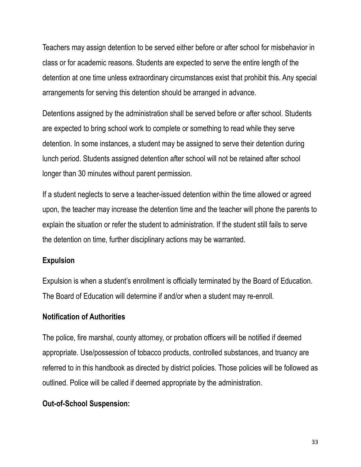Teachers may assign detention to be served either before or after school for misbehavior in class or for academic reasons. Students are expected to serve the entire length of the detention at one time unless extraordinary circumstances exist that prohibit this. Any special arrangements for serving this detention should be arranged in advance.

Detentions assigned by the administration shall be served before or after school. Students are expected to bring school work to complete or something to read while they serve detention. In some instances, a student may be assigned to serve their detention during lunch period. Students assigned detention after school will not be retained after school longer than 30 minutes without parent permission.

If a student neglects to serve a teacher-issued detention within the time allowed or agreed upon, the teacher may increase the detention time and the teacher will phone the parents to explain the situation or refer the student to administration. If the student still fails to serve the detention on time, further disciplinary actions may be warranted.

#### **Expulsion**

Expulsion is when a student's enrollment is officially terminated by the Board of Education. The Board of Education will determine if and/or when a student may re-enroll.

#### **Notification of Authorities**

The police, fire marshal, county attorney, or probation officers will be notified if deemed appropriate. Use/possession of tobacco products, controlled substances, and truancy are referred to in this handbook as directed by district policies. Those policies will be followed as outlined. Police will be called if deemed appropriate by the administration.

#### **Out-of-School Suspension:**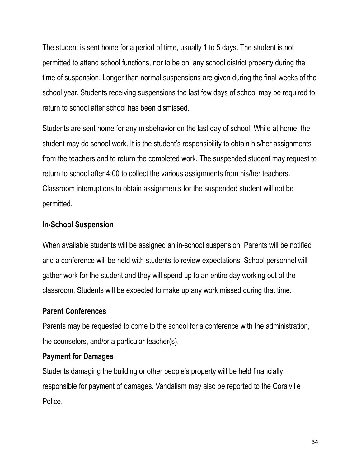The student is sent home for a period of time, usually 1 to 5 days. The student is not permitted to attend school functions, nor to be on any school district property during the time of suspension. Longer than normal suspensions are given during the final weeks of the school year. Students receiving suspensions the last few days of school may be required to return to school after school has been dismissed.

Students are sent home for any misbehavior on the last day of school. While at home, the student may do school work. It is the student's responsibility to obtain his/her assignments from the teachers and to return the completed work. The suspended student may request to return to school after 4:00 to collect the various assignments from his/her teachers. Classroom interruptions to obtain assignments for the suspended student will not be permitted.

#### **In-School Suspension**

When available students will be assigned an in-school suspension. Parents will be notified and a conference will be held with students to review expectations. School personnel will gather work for the student and they will spend up to an entire day working out of the classroom. Students will be expected to make up any work missed during that time.

#### **Parent Conferences**

Parents may be requested to come to the school for a conference with the administration, the counselors, and/or a particular teacher(s).

#### **Payment for Damages**

Students damaging the building or other people's property will be held financially responsible for payment of damages. Vandalism may also be reported to the Coralville Police.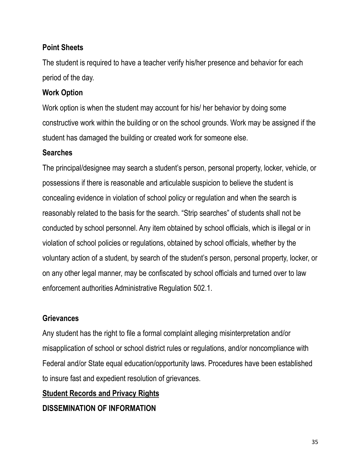# **Point Sheets**

The student is required to have a teacher verify his/her presence and behavior for each period of the day.

# **Work Option**

Work option is when the student may account for his/ her behavior by doing some constructive work within the building or on the school grounds. Work may be assigned if the student has damaged the building or created work for someone else.

# **Searches**

The principal/designee may search a student's person, personal property, locker, vehicle, or possessions if there is reasonable and articulable suspicion to believe the student is concealing evidence in violation of school policy or regulation and when the search is reasonably related to the basis for the search. "Strip searches" of students shall not be conducted by school personnel. Any item obtained by school officials, which is illegal or in violation of school policies or regulations, obtained by school officials, whether by the voluntary action of a student, by search of the student's person, personal property, locker, or on any other legal manner, may be confiscated by school officials and turned over to law enforcement authorities Administrative Regulation 502.1.

# **Grievances**

Any student has the right to file a formal complaint alleging misinterpretation and/or misapplication of school or school district rules or regulations, and/or noncompliance with Federal and/or State equal education/opportunity laws. Procedures have been established to insure fast and expedient resolution of grievances.

# **Student Records and Privacy Rights**

**DISSEMINATION OF INFORMATION**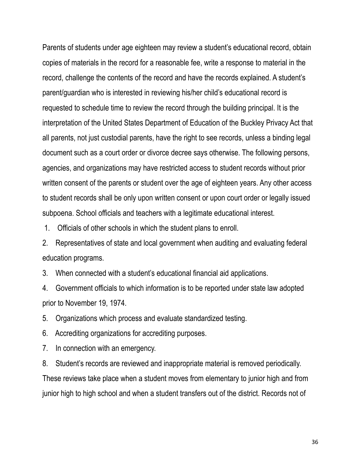Parents of students under age eighteen may review a student's educational record, obtain copies of materials in the record for a reasonable fee, write a response to material in the record, challenge the contents of the record and have the records explained. A student's parent/guardian who is interested in reviewing his/her child's educational record is requested to schedule time to review the record through the building principal. It is the interpretation of the United States Department of Education of the Buckley Privacy Act that all parents, not just custodial parents, have the right to see records, unless a binding legal document such as a court order or divorce decree says otherwise. The following persons, agencies, and organizations may have restricted access to student records without prior written consent of the parents or student over the age of eighteen years. Any other access to student records shall be only upon written consent or upon court order or legally issued subpoena. School officials and teachers with a legitimate educational interest.

1. Officials of other schools in which the student plans to enroll.

2. Representatives of state and local government when auditing and evaluating federal education programs.

3. When connected with a student's educational financial aid applications.

4. Government officials to which information is to be reported under state law adopted prior to November 19, 1974.

5. Organizations which process and evaluate standardized testing.

6. Accrediting organizations for accrediting purposes.

7. In connection with an emergency.

8. Student's records are reviewed and inappropriate material is removed periodically. These reviews take place when a student moves from elementary to junior high and from junior high to high school and when a student transfers out of the district. Records not of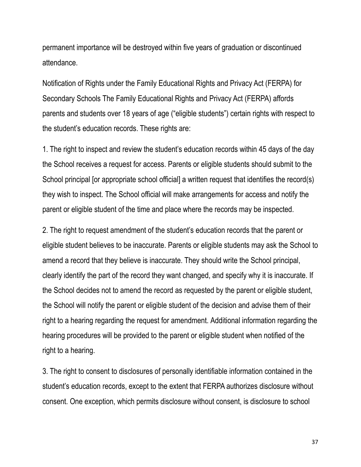permanent importance will be destroyed within five years of graduation or discontinued attendance.

Notification of Rights under the Family Educational Rights and Privacy Act (FERPA) for Secondary Schools The Family Educational Rights and Privacy Act (FERPA) affords parents and students over 18 years of age ("eligible students") certain rights with respect to the student's education records. These rights are:

1. The right to inspect and review the student's education records within 45 days of the day the School receives a request for access. Parents or eligible students should submit to the School principal [or appropriate school official] a written request that identifies the record(s) they wish to inspect. The School official will make arrangements for access and notify the parent or eligible student of the time and place where the records may be inspected.

2. The right to request amendment of the student's education records that the parent or eligible student believes to be inaccurate. Parents or eligible students may ask the School to amend a record that they believe is inaccurate. They should write the School principal, clearly identify the part of the record they want changed, and specify why it is inaccurate. If the School decides not to amend the record as requested by the parent or eligible student, the School will notify the parent or eligible student of the decision and advise them of their right to a hearing regarding the request for amendment. Additional information regarding the hearing procedures will be provided to the parent or eligible student when notified of the right to a hearing.

3. The right to consent to disclosures of personally identifiable information contained in the student's education records, except to the extent that FERPA authorizes disclosure without consent. One exception, which permits disclosure without consent, is disclosure to school

37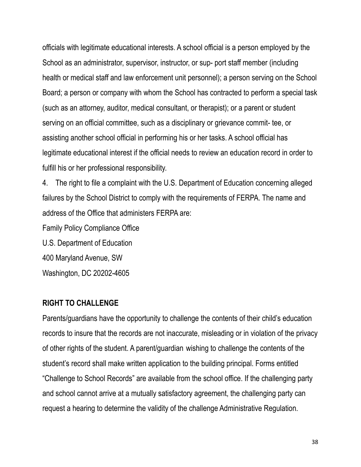officials with legitimate educational interests. A school official is a person employed by the School as an administrator, supervisor, instructor, or sup- port staff member (including health or medical staff and law enforcement unit personnel); a person serving on the School Board; a person or company with whom the School has contracted to perform a special task (such as an attorney, auditor, medical consultant, or therapist); or a parent or student serving on an official committee, such as a disciplinary or grievance commit- tee, or assisting another school official in performing his or her tasks. A school official has legitimate educational interest if the official needs to review an education record in order to fulfill his or her professional responsibility.

4. The right to file a complaint with the U.S. Department of Education concerning alleged failures by the School District to comply with the requirements of FERPA. The name and address of the Office that administers FERPA are:

Family Policy Compliance Office

U.S. Department of Education

400 Maryland Avenue, SW

Washington, DC 20202-4605

#### **RIGHT TO CHALLENGE**

Parents/guardians have the opportunity to challenge the contents of their child's education records to insure that the records are not inaccurate, misleading or in violation of the privacy of other rights of the student. A parent/guardian wishing to challenge the contents of the student's record shall make written application to the building principal. Forms entitled "Challenge to School Records" are available from the school office. If the challenging party and school cannot arrive at a mutually satisfactory agreement, the challenging party can request a hearing to determine the validity of the challenge Administrative Regulation.